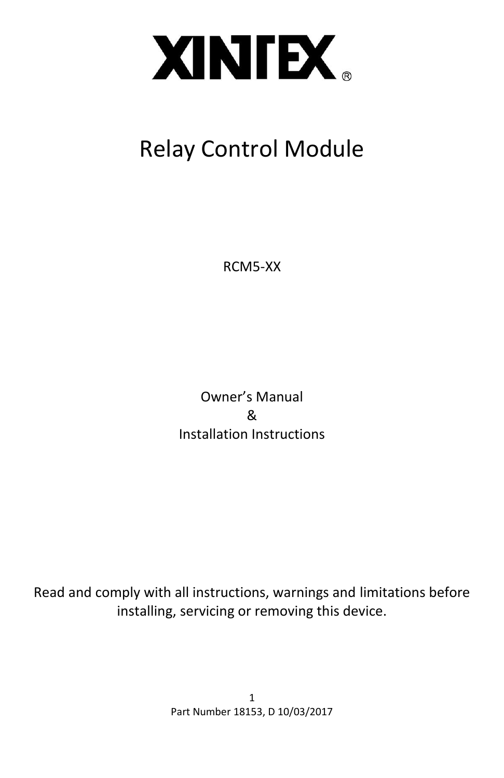

# Relay Control Module

RCM5-XX

Owner's Manual & Installation Instructions

Read and comply with all instructions, warnings and limitations before installing, servicing or removing this device.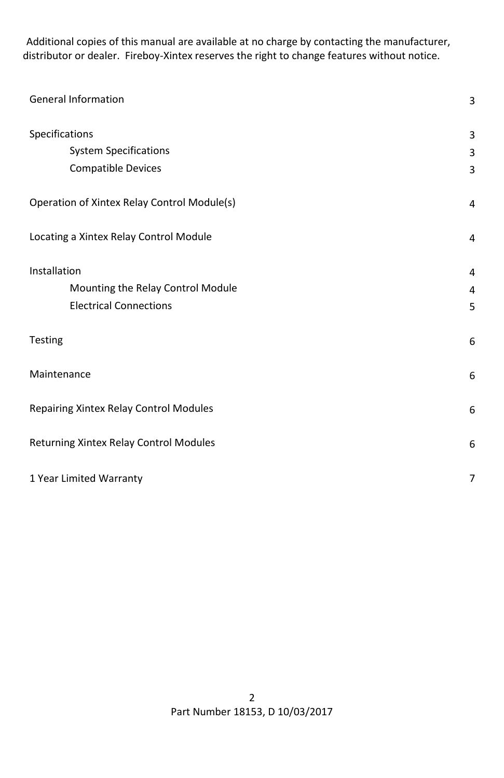Additional copies of this manual are available at no charge by contacting the manufacturer, distributor or dealer. Fireboy-Xintex reserves the right to change features without notice.

| <b>General Information</b>                  |   |
|---------------------------------------------|---|
| Specifications                              | 3 |
| <b>System Specifications</b>                | 3 |
| <b>Compatible Devices</b>                   | 3 |
| Operation of Xintex Relay Control Module(s) | 4 |
| Locating a Xintex Relay Control Module      | 4 |
| Installation                                | 4 |
| Mounting the Relay Control Module           | 4 |
| <b>Electrical Connections</b>               | 5 |
| Testing                                     | 6 |
| Maintenance                                 | 6 |
| Repairing Xintex Relay Control Modules      |   |
| Returning Xintex Relay Control Modules      |   |
| 1 Year Limited Warranty                     |   |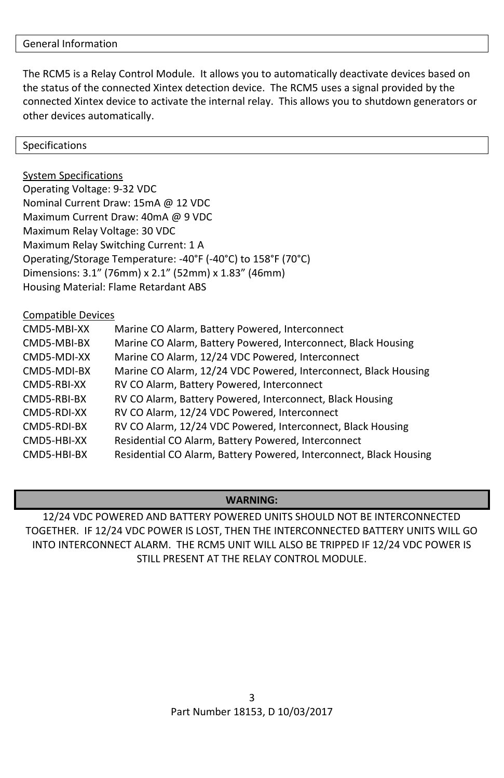The RCM5 is a Relay Control Module. It allows you to automatically deactivate devices based on the status of the connected Xintex detection device. The RCM5 uses a signal provided by the connected Xintex device to activate the internal relay. This allows you to shutdown generators or other devices automatically.

Specifications

System Specifications Operating Voltage: 9-32 VDC Nominal Current Draw: 15mA @ 12 VDC Maximum Current Draw: 40mA @ 9 VDC Maximum Relay Voltage: 30 VDC Maximum Relay Switching Current: 1 A Operating/Storage Temperature: -40°F (-40°C) to 158°F (70°C) Dimensions: 3.1" (76mm) x 2.1" (52mm) x 1.83" (46mm) Housing Material: Flame Retardant ABS

Compatible Devices

| CMD5-MBI-XX | Marine CO Alarm, Battery Powered, Interconnect                     |
|-------------|--------------------------------------------------------------------|
| CMD5-MBI-BX | Marine CO Alarm, Battery Powered, Interconnect, Black Housing      |
| CMD5-MDI-XX | Marine CO Alarm, 12/24 VDC Powered, Interconnect                   |
| CMD5-MDI-BX | Marine CO Alarm, 12/24 VDC Powered, Interconnect, Black Housing    |
| CMD5-RBI-XX | RV CO Alarm, Battery Powered, Interconnect                         |
| CMD5-RBI-BX | RV CO Alarm, Battery Powered, Interconnect, Black Housing          |
| CMD5-RDI-XX | RV CO Alarm, 12/24 VDC Powered, Interconnect                       |
| CMD5-RDI-BX | RV CO Alarm, 12/24 VDC Powered, Interconnect, Black Housing        |
| CMD5-HBI-XX | Residential CO Alarm, Battery Powered, Interconnect                |
| CMD5-HBI-BX | Residential CO Alarm, Battery Powered, Interconnect, Black Housing |

# **WARNING:**

12/24 VDC POWERED AND BATTERY POWERED UNITS SHOULD NOT BE INTERCONNECTED TOGETHER. IF 12/24 VDC POWER IS LOST, THEN THE INTERCONNECTED BATTERY UNITS WILL GO INTO INTERCONNECT ALARM. THE RCM5 UNIT WILL ALSO BE TRIPPED IF 12/24 VDC POWER IS STILL PRESENT AT THE RELAY CONTROL MODULE.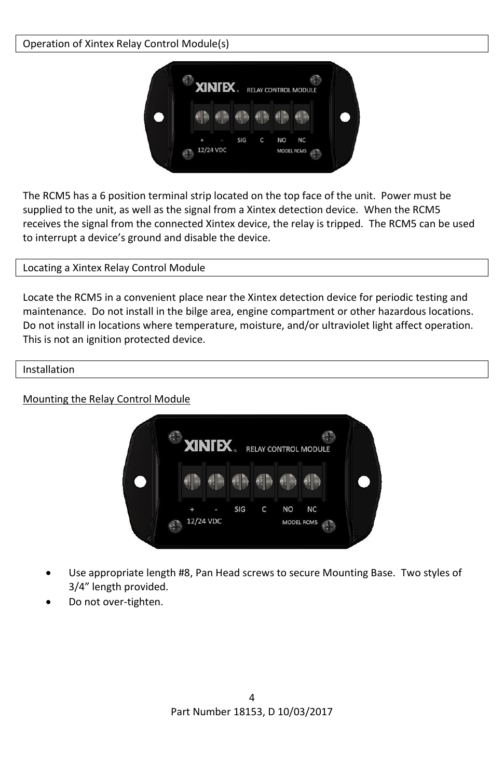# Operation of Xintex Relay Control Module(s)



The RCM5 has a 6 position terminal strip located on the top face of the unit. Power must be supplied to the unit, as well as the signal from a Xintex detection device. When the RCM5 receives the signal from the connected Xintex device, the relay is tripped. The RCM5 can be used to interrupt a device's ground and disable the device.

# Locating a Xintex Relay Control Module

Locate the RCM5 in a convenient place near the Xintex detection device for periodic testing and maintenance. Do not install in the bilge area, engine compartment or other hazardous locations. Do not install in locations where temperature, moisture, and/or ultraviolet light affect operation. This is not an ignition protected device.

## Installation

# Mounting the Relay Control Module



- Use appropriate length #8, Pan Head screws to secure Mounting Base. Two styles of 3/4" length provided.
- Do not over-tighten.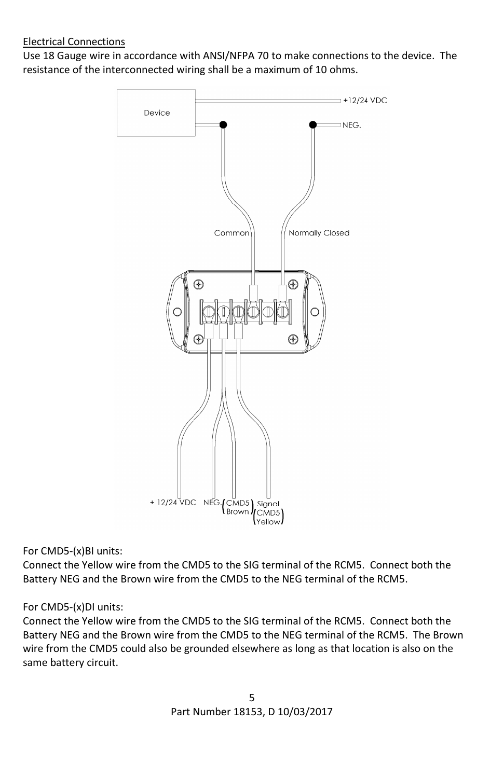# Electrical Connections

Use 18 Gauge wire in accordance with ANSI/NFPA 70 to make connections to the device. The resistance of the interconnected wiring shall be a maximum of 10 ohms.



For CMD5-(x)BI units:

Connect the Yellow wire from the CMD5 to the SIG terminal of the RCM5. Connect both the Battery NEG and the Brown wire from the CMD5 to the NEG terminal of the RCM5.

# For CMD5-(x)DI units:

Connect the Yellow wire from the CMD5 to the SIG terminal of the RCM5. Connect both the Battery NEG and the Brown wire from the CMD5 to the NEG terminal of the RCM5. The Brown wire from the CMD5 could also be grounded elsewhere as long as that location is also on the same battery circuit.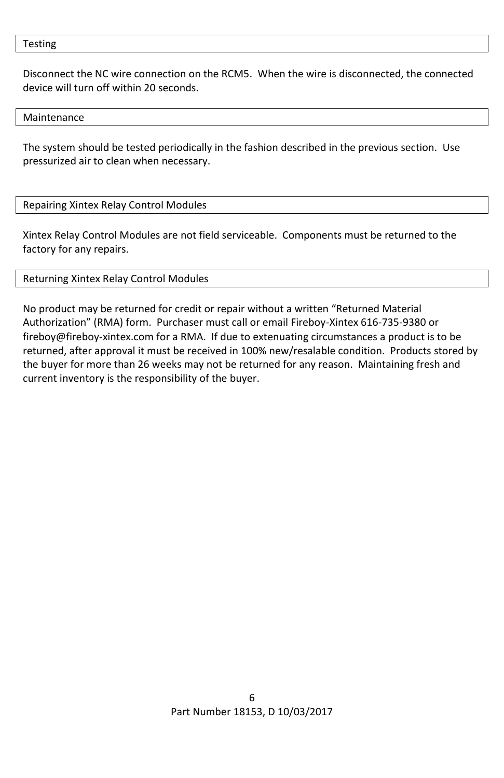Testing

Disconnect the NC wire connection on the RCM5. When the wire is disconnected, the connected device will turn off within 20 seconds.

Maintenance

The system should be tested periodically in the fashion described in the previous section. Use pressurized air to clean when necessary.

## Repairing Xintex Relay Control Modules

Xintex Relay Control Modules are not field serviceable. Components must be returned to the factory for any repairs.

## Returning Xintex Relay Control Modules

No product may be returned for credit or repair without a written "Returned Material Authorization" (RMA) form. Purchaser must call or email Fireboy-Xintex 616-735-9380 or fireboy@fireboy-xintex.com for a RMA. If due to extenuating circumstances a product is to be returned, after approval it must be received in 100% new/resalable condition. Products stored by the buyer for more than 26 weeks may not be returned for any reason. Maintaining fresh and current inventory is the responsibility of the buyer.